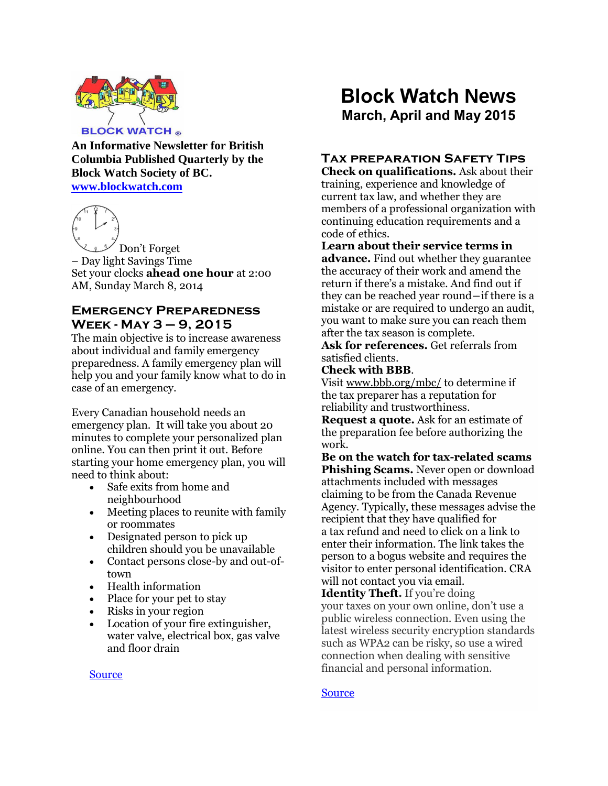

**An Informative Newsletter for British Columbia Published Quarterly by the Block Watch Society of BC. [www.blockwatch.com](http://www.blockwatch.com/)**



Don't Forget – Day light Savings Time Set your clocks **ahead one hour** at 2:00 AM, Sunday March 8, 2014

### **Emergency Preparedness Week - May 3 – 9, 2015**

The main objective is to increase awareness about individual and family emergency preparedness. A family emergency plan will help you and your family know what to do in case of an emergency.

Every Canadian household needs an emergency plan. It will take you about 20 minutes to complete your personalized plan online. You can then print it out. Before starting your home emergency plan, you will need to think about:

- Safe exits from home and neighbourhood
- Meeting places to reunite with family or roommates
- Designated person to pick up children should you be unavailable
- Contact persons close-by and out-oftown
- Health information
- Place for your pet to stay
- Risks in your region
- Location of your fire extinguisher, water valve, electrical box, gas valve and floor drain

# **Block Watch News March, April and May 2015**

## **Tax preparation Safety Tips**

**Check on qualifications.** Ask about their training, experience and knowledge of current tax law, and whether they are members of a professional organization with continuing education requirements and a code of ethics.

### **Learn about their service terms in advance.** Find out whether they guarantee the accuracy of their work and amend the

return if there's a mistake. And find out if they can be reached year round―if there is a mistake or are required to undergo an audit, you want to make sure you can reach them after the tax season is complete.

**Ask for references.** Get referrals from satisfied clients.

### **Check with BBB**.

Visit [www.bbb.org/mbc/](http://www.bbb.org/mbc/) to determine if the tax preparer has a reputation for reliability and trustworthiness.

**Request a quote.** Ask for an estimate of the preparation fee before authorizing the work.

**Be on the watch for tax-related scams Phishing Scams.** Never open or download attachments included with messages claiming to be from the Canada Revenue Agency. Typically, these messages advise the recipient that they have qualified for a tax refund and need to click on a link to enter their information. The link takes the person to a bogus website and requires the visitor to enter personal identification. CRA will not contact you via email.

**Identity Theft.** If you're doing your taxes on your own online, don't use a public wireless connection. Even using the latest wireless security encryption standards such as WPA2 can be risky, so use a wired connection when dealing with sensitive financial and personal information.

### **[Source](http://www.bbb.org/mbc/news-centre/news-releases/2014/03/choose-your-tax-preparation-service-carefully-advises-bbb/)**

#### **[Source](http://www.embc.gov.bc.ca/em/index.html)**